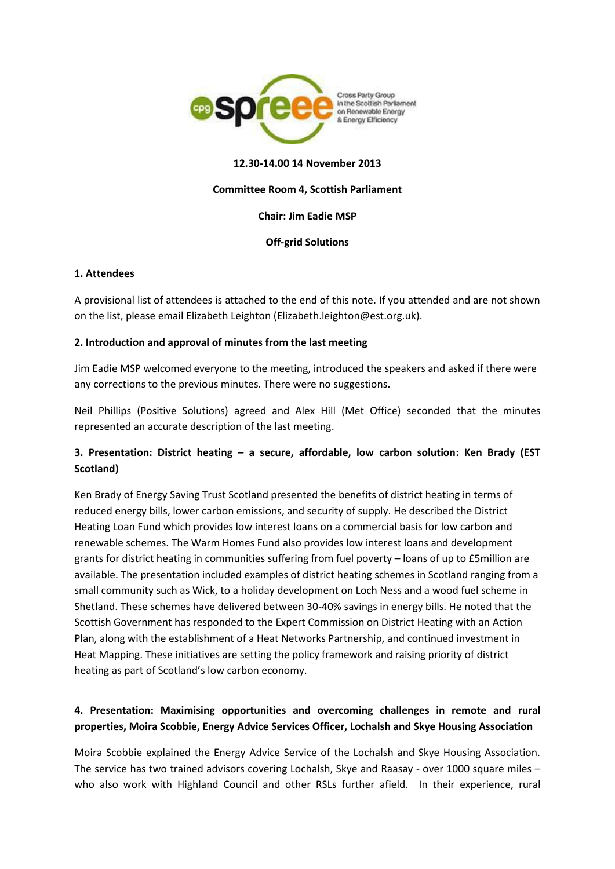

### **12.30-14.00 14 November 2013**

## **Committee Room 4, Scottish Parliament**

### **Chair: Jim Eadie MSP**

## **Off-grid Solutions**

## **1. Attendees**

A provisional list of attendees is attached to the end of this note. If you attended and are not shown on the list, please email Elizabeth Leighton (Elizabeth.leighton@est.org.uk).

## **2. Introduction and approval of minutes from the last meeting**

Jim Eadie MSP welcomed everyone to the meeting, introduced the speakers and asked if there were any corrections to the previous minutes. There were no suggestions.

Neil Phillips (Positive Solutions) agreed and Alex Hill (Met Office) seconded that the minutes represented an accurate description of the last meeting.

## **3. Presentation: District heating – a secure, affordable, low carbon solution: Ken Brady (EST Scotland)**

Ken Brady of Energy Saving Trust Scotland presented the benefits of district heating in terms of reduced energy bills, lower carbon emissions, and security of supply. He described the District Heating Loan Fund which provides low interest loans on a commercial basis for low carbon and renewable schemes. The Warm Homes Fund also provides low interest loans and development grants for district heating in communities suffering from fuel poverty – loans of up to £5million are available. The presentation included examples of district heating schemes in Scotland ranging from a small community such as Wick, to a holiday development on Loch Ness and a wood fuel scheme in Shetland. These schemes have delivered between 30-40% savings in energy bills. He noted that the Scottish Government has responded to the Expert Commission on District Heating with an Action Plan, along with the establishment of a Heat Networks Partnership, and continued investment in Heat Mapping. These initiatives are setting the policy framework and raising priority of district heating as part of Scotland's low carbon economy.

## **4. Presentation: Maximising opportunities and overcoming challenges in remote and rural properties, Moira Scobbie, Energy Advice Services Officer, Lochalsh and Skye Housing Association**

Moira Scobbie explained the Energy Advice Service of the Lochalsh and Skye Housing Association. The service has two trained advisors covering Lochalsh, Skye and Raasay - over 1000 square miles – who also work with Highland Council and other RSLs further afield. In their experience, rural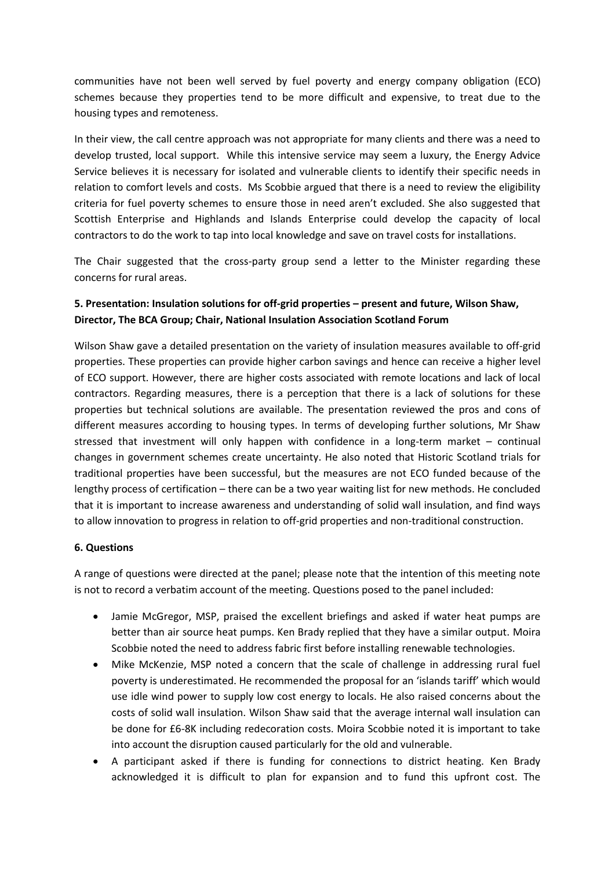communities have not been well served by fuel poverty and energy company obligation (ECO) schemes because they properties tend to be more difficult and expensive, to treat due to the housing types and remoteness.

In their view, the call centre approach was not appropriate for many clients and there was a need to develop trusted, local support. While this intensive service may seem a luxury, the Energy Advice Service believes it is necessary for isolated and vulnerable clients to identify their specific needs in relation to comfort levels and costs. Ms Scobbie argued that there is a need to review the eligibility criteria for fuel poverty schemes to ensure those in need aren't excluded. She also suggested that Scottish Enterprise and Highlands and Islands Enterprise could develop the capacity of local contractors to do the work to tap into local knowledge and save on travel costs for installations.

The Chair suggested that the cross-party group send a letter to the Minister regarding these concerns for rural areas.

# **5. Presentation: Insulation solutions for off-grid properties – present and future, Wilson Shaw, Director, The BCA Group; Chair, National Insulation Association Scotland Forum**

Wilson Shaw gave a detailed presentation on the variety of insulation measures available to off-grid properties. These properties can provide higher carbon savings and hence can receive a higher level of ECO support. However, there are higher costs associated with remote locations and lack of local contractors. Regarding measures, there is a perception that there is a lack of solutions for these properties but technical solutions are available. The presentation reviewed the pros and cons of different measures according to housing types. In terms of developing further solutions, Mr Shaw stressed that investment will only happen with confidence in a long-term market – continual changes in government schemes create uncertainty. He also noted that Historic Scotland trials for traditional properties have been successful, but the measures are not ECO funded because of the lengthy process of certification – there can be a two year waiting list for new methods. He concluded that it is important to increase awareness and understanding of solid wall insulation, and find ways to allow innovation to progress in relation to off-grid properties and non-traditional construction.

### **6. Questions**

A range of questions were directed at the panel; please note that the intention of this meeting note is not to record a verbatim account of the meeting. Questions posed to the panel included:

- Jamie McGregor, MSP, praised the excellent briefings and asked if water heat pumps are better than air source heat pumps. Ken Brady replied that they have a similar output. Moira Scobbie noted the need to address fabric first before installing renewable technologies.
- Mike McKenzie, MSP noted a concern that the scale of challenge in addressing rural fuel poverty is underestimated. He recommended the proposal for an 'islands tariff' which would use idle wind power to supply low cost energy to locals. He also raised concerns about the costs of solid wall insulation. Wilson Shaw said that the average internal wall insulation can be done for £6-8K including redecoration costs. Moira Scobbie noted it is important to take into account the disruption caused particularly for the old and vulnerable.
- A participant asked if there is funding for connections to district heating. Ken Brady acknowledged it is difficult to plan for expansion and to fund this upfront cost. The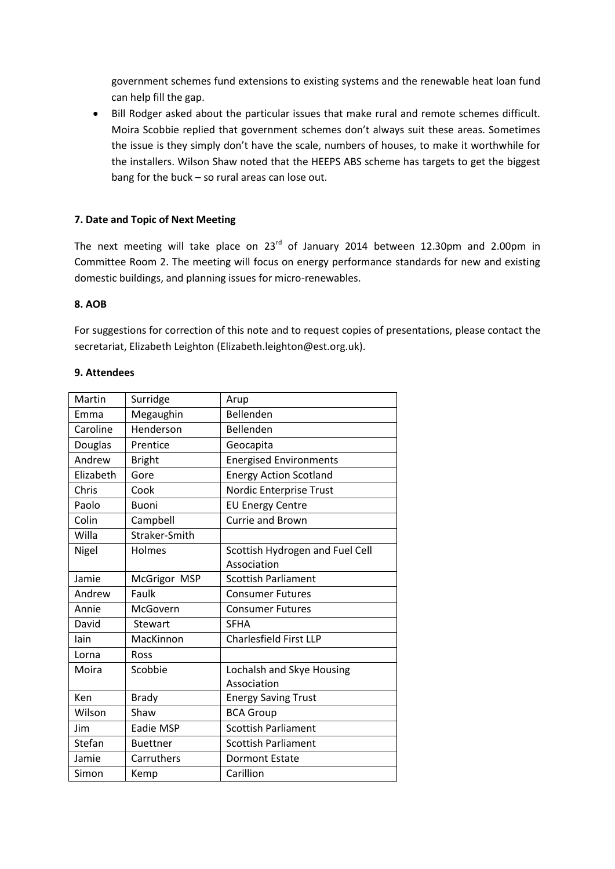government schemes fund extensions to existing systems and the renewable heat loan fund can help fill the gap.

 Bill Rodger asked about the particular issues that make rural and remote schemes difficult. Moira Scobbie replied that government schemes don't always suit these areas. Sometimes the issue is they simply don't have the scale, numbers of houses, to make it worthwhile for the installers. Wilson Shaw noted that the HEEPS ABS scheme has targets to get the biggest bang for the buck – so rural areas can lose out.

## **7. Date and Topic of Next Meeting**

The next meeting will take place on 23<sup>rd</sup> of January 2014 between 12.30pm and 2.00pm in Committee Room 2. The meeting will focus on energy performance standards for new and existing domestic buildings, and planning issues for micro-renewables.

### **8. AOB**

For suggestions for correction of this note and to request copies of presentations, please contact the secretariat, Elizabeth Leighton (Elizabeth.leighton@est.org.uk).

#### **9. Attendees**

| Martin    | Surridge        | Arup                            |
|-----------|-----------------|---------------------------------|
| Emma      | Megaughin       | Bellenden                       |
| Caroline  | Henderson       | Bellenden                       |
| Douglas   | Prentice        | Geocapita                       |
| Andrew    | <b>Bright</b>   | <b>Energised Environments</b>   |
| Elizabeth | Gore            | <b>Energy Action Scotland</b>   |
| Chris     | Cook            | Nordic Enterprise Trust         |
| Paolo     | <b>Buoni</b>    | <b>EU Energy Centre</b>         |
| Colin     | Campbell        | <b>Currie and Brown</b>         |
| Willa     | Straker-Smith   |                                 |
| Nigel     | Holmes          | Scottish Hydrogen and Fuel Cell |
|           |                 | Association                     |
| Jamie     | McGrigor MSP    | <b>Scottish Parliament</b>      |
| Andrew    | Faulk           | <b>Consumer Futures</b>         |
| Annie     | McGovern        | <b>Consumer Futures</b>         |
| David     | <b>Stewart</b>  | <b>SFHA</b>                     |
| lain      | MacKinnon       | <b>Charlesfield First LLP</b>   |
| Lorna     | Ross            |                                 |
| Moira     | Scobbie         | Lochalsh and Skye Housing       |
|           |                 | Association                     |
| Ken       | <b>Brady</b>    | <b>Energy Saving Trust</b>      |
| Wilson    | Shaw            | <b>BCA Group</b>                |
| Jim       | Eadie MSP       | <b>Scottish Parliament</b>      |
| Stefan    | <b>Buettner</b> | <b>Scottish Parliament</b>      |
| Jamie     | Carruthers      | <b>Dormont Estate</b>           |
| Simon     | Kemp            | Carillion                       |